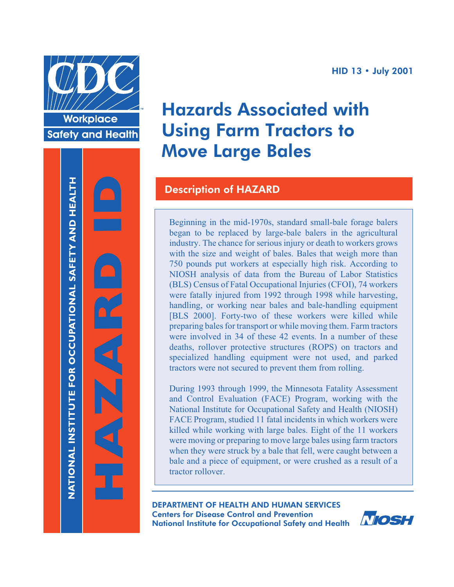

**Workplace Safety and Health** 



# Hazards Associated with Using Farm Tractors to Move Large Bales

# Description of HAZARD

Beginning in the mid-1970s, standard small-bale forage balers began to be replaced by large-bale balers in the agricultural industry. The chance for serious injury or death to workers grows with the size and weight of bales. Bales that weigh more than 750 pounds put workers at especially high risk. According to NIOSH analysis of data from the Bureau of Labor Statistics (BLS) Census of Fatal Occupational Injuries (CFOI), 74 workers were fatally injured from 1992 through 1998 while harvesting, handling, or working near bales and bale-handling equipment [BLS 2000]. Forty-two of these workers were killed while preparing bales for transport or while moving them. Farm tractors were involved in 34 of these 42 events. In a number of these deaths, rollover protective structures (ROPS) on tractors and specialized handling equipment were not used, and parked tractors were not secured to prevent them from rolling.

During 1993 through 1999, the Minnesota Fatality Assessment and Control Evaluation (FACE) Program, working with the National Institute for Occupational Safety and Health (NIOSH) FACE Program, studied 11 fatal incidents in which workers were killed while working with large bales. Eight of the 11 workers were moving or preparing to move large bales using farm tractors when they were struck by a bale that fell, were caught between a bale and a piece of equipment, or were crushed as a result of a tractor rollover.

DEPARTMENT OF HEALTH AND HUMAN SERVICES Centers for Disease Control and Prevention National Institute for Occupational Safety and Health

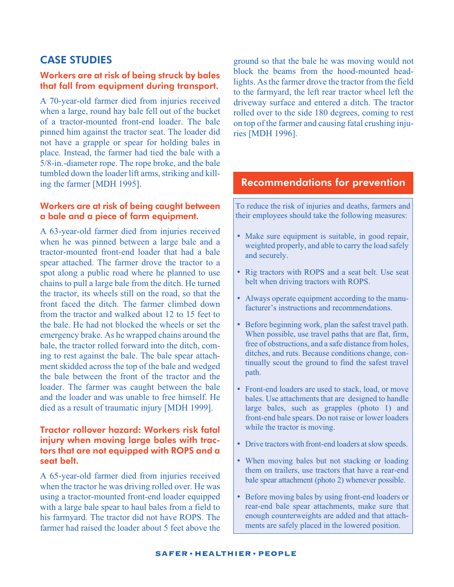# CASE STUDIES

#### Workers are at risk of being struck by bales that fall from equipment during transport.

A 70-year-old farmer died from injuries received when a large, round hay bale fell out of the bucket of a tractor-mounted front-end loader. The bale pinned him against the tractor seat. The loader did not have a grapple or spear for holding bales in place. Instead, the farmer had tied the bale with a 5/8-in.-diameter rope. The rope broke, and the bale tumbled down the loader lift arms, striking and killing the farmer [MDH 1995].

#### Workers are at risk of being caught between a bale and a piece of farm equipment.

A 63-year-old farmer died from injuries received when he was pinned between a large bale and a tractor-mounted front-end loader that had a bale spear attached. The farmer drove the tractor to a spot along a public road where he planned to use chains to pull a large bale from the ditch. He turned the tractor, its wheels still on the road, so that the front faced the ditch. The farmer climbed down from the tractor and walked about 12 to 15 feet to the bale. He had not blocked the wheels or set the emergency brake. As he wrapped chains around the bale, the tractor rolled forward into the ditch, coming to rest against the bale. The bale spear attachment skidded across the top of the bale and wedged the bale between the front of the tractor and the loader. The farmer was caught between the bale and the loader and was unable to free himself. He died as a result of traumatic injury [MDH 1999].

#### Tractor rollover hazard: Workers risk fatal injury when moving large bales with tractors that are not equipped with ROPS and a seat belt.

A 65-year-old farmer died from injuries received when the tractor he was driving rolled over. He was using a tractor-mounted front-end loader equipped with a large bale spear to haul bales from a field to his farmyard. The tractor did not have ROPS. The farmer had raised the loader about 5 feet above the

ground so that the bale he was moving would not block the beams from the hood-mounted headlights. Asthe farmer drove the tractor from the field to the farmyard, the left rear tractor wheel left the driveway surface and entered a ditch. The tractor rolled over to the side 180 degrees, coming to rest on top of the farmer and causing fatal crushing injuries [MDH 1996].

## Recommendations for prevention

To reduce the risk of injuries and deaths, farmers and their employees should take the following measures:

- Make sure equipment is suitable, in good repair, weighted properly, and able to carry the load safely and securely.
- Rig tractors with ROPS and a seat belt. Use seat belt when driving tractors with ROPS.
- Always operate equipment according to the manufacturer's instructions and recommendations.
- Before beginning work, plan the safest travel path. When possible, use travel paths that are flat, firm, free of obstructions, and a safe distance from holes, ditches, and ruts. Because conditions change, continually scout the ground to find the safest travel path.
- Front-end loaders are used to stack, load, or move bales. Use attachments that are designed to handle large bales, such as grapples (photo 1) and front-end bale spears. Do not raise or lower loaders while the tractor is moving.
- Drive tractors with front-end loaders at slow speeds.
- When moving bales but not stacking or loading them on trailers, use tractors that have a rear-end bale spear attachment (photo 2) whenever possible.
- Before moving bales by using front-end loaders or rear-end bale spear attachments, make sure that enough counterweights are added and that attachments are safely placed in the lowered position.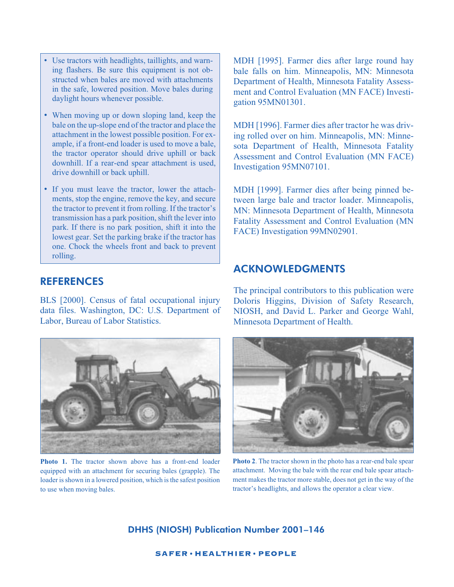- Use tractors with headlights, taillights, and warning flashers. Be sure this equipment is not obstructed when bales are moved with attachments in the safe, lowered position. Move bales during daylight hours whenever possible.
- When moving up or down sloping land, keep the bale on the up-slope end of the tractor and place the attachment in the lowest possible position. For example, if a front-end loader is used to move a bale, the tractor operator should drive uphill or back downhill. If a rear-end spear attachment is used, drive downhill or back uphill.
- If you must leave the tractor, lower the attachments, stop the engine, remove the key, and secure the tractor to prevent it from rolling. If the tractor's transmission has a park position, shift the lever into park. If there is no park position, shift it into the lowest gear. Set the parking brake if the tractor has one. Chock the wheels front and back to prevent rolling.

## **REFERENCES**

BLS [2000]. Census of fatal occupational injury data files. Washington, DC: U.S. Department of Labor, Bureau of Labor Statistics.



**Photo 1.** The tractor shown above has a front-end loader equipped with an attachment for securing bales (grapple). The loader is shown in a lowered position, which is the safest position to use when moving bales.

MDH [1995]. Farmer dies after large round hay bale falls on him. Minneapolis, MN: Minnesota Department of Health, Minnesota Fatality Assessment and Control Evaluation (MN FACE) Investigation 95MN01301.

MDH [1996]. Farmer dies after tractor he was driving rolled over on him. Minneapolis, MN: Minnesota Department of Health, Minnesota Fatality Assessment and Control Evaluation (MN FACE) Investigation 95MN07101.

MDH [1999]. Farmer dies after being pinned between large bale and tractor loader. Minneapolis, MN: Minnesota Department of Health, Minnesota Fatality Assessment and Control Evaluation (MN FACE) Investigation 99MN02901.

### ACKNOWLEDGMENTS

The principal contributors to this publication were Doloris Higgins, Division of Safety Research, NIOSH, and David L. Parker and George Wahl, Minnesota Department of Health.



**Photo 2**. The tractor shown in the photo has a rear-end bale spear attachment. Moving the bale with the rear end bale spear attachment makes the tractor more stable, does not get in the way of the tractor's headlights, and allows the operator a clear view.

DHHS (NIOSH) Publication Number 2001–146

**SAFER·HEALTHIER·PEOPLE**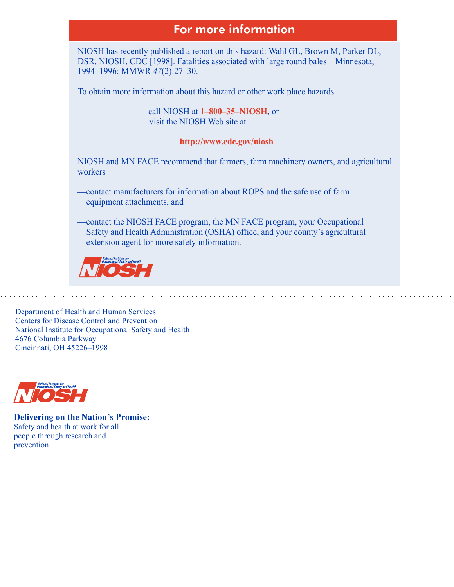# For more information

NIOSH has recently published a report on this hazard: Wahl GL, Brown M, Parker DL, DSR, NIOSH, CDC [1998]. Fatalities associated with large round bales—Minnesota, 1994–1996: MMWR *47*(2):27–30.

To obtain more information about this hazard or other work place hazards

—call NIOSH at **1–800–35–NIOSH**, or —visit the NIOSH Web site at

#### **http://www.cdc.gov/niosh**

NIOSH and MN FACE recommend that farmers, farm machinery owners, and agricultural workers

—contact manufacturers for information about ROPS and the safe use of farm equipment attachments, and

—contact the NIOSH FACE program, the MN FACE program, your Occupational Safety and Health Administration (OSHA) office, and your county's agricultural extension agent for more safety information.



Department of Health and Human Services Centers for Disease Control and Prevention National Institute for Occupational Safety and Health 4676 Columbia Parkway Cincinnati, OH 45226–1998



**Delivering on the Nation's Promise:**  Safety and health at work for all people through research and prevention